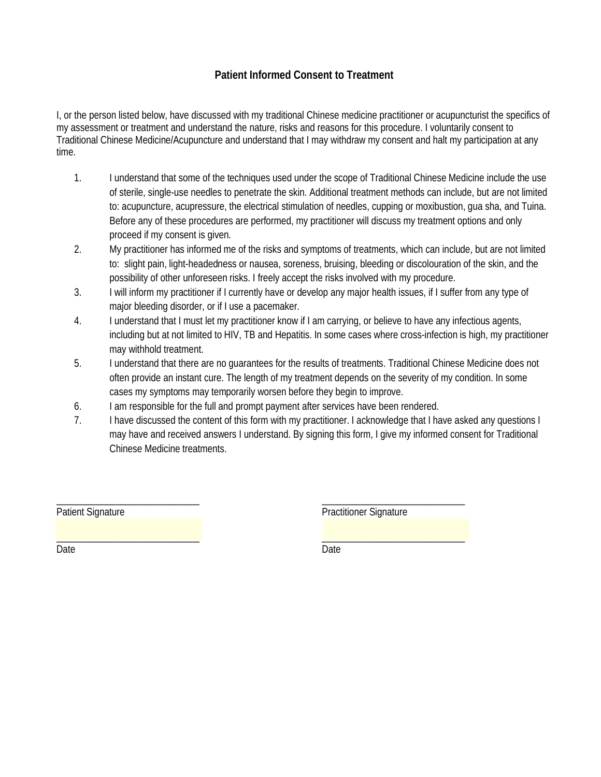# **Patient Informed Consent to Treatment**

I, or the person listed below, have discussed with my traditional Chinese medicine practitioner or acupuncturist the specifics of my assessment or treatment and understand the nature, risks and reasons for this procedure. I voluntarily consent to Traditional Chinese Medicine/Acupuncture and understand that I may withdraw my consent and halt my participation at any time.

- 1. I understand that some of the techniques used under the scope of Traditional Chinese Medicine include the use of sterile, single-use needles to penetrate the skin. Additional treatment methods can include, but are not limited to: acupuncture, acupressure, the electrical stimulation of needles, cupping or moxibustion, gua sha, and Tuina. Before any of these procedures are performed, my practitioner will discuss my treatment options and only proceed if my consent is given.
- 2. My practitioner has informed me of the risks and symptoms of treatments, which can include, but are not limited to: slight pain, light-headedness or nausea, soreness, bruising, bleeding or discolouration of the skin, and the possibility of other unforeseen risks. I freely accept the risks involved with my procedure.
- 3. I will inform my practitioner if I currently have or develop any major health issues, if I suffer from any type of major bleeding disorder, or if I use a pacemaker.
- 4. I understand that I must let my practitioner know if I am carrying, or believe to have any infectious agents, including but at not limited to HIV, TB and Hepatitis. In some cases where cross-infection is high, my practitioner may withhold treatment.
- 5. I understand that there are no guarantees for the results of treatments. Traditional Chinese Medicine does not often provide an instant cure. The length of my treatment depends on the severity of my condition. In some cases my symptoms may temporarily worsen before they begin to improve.
- 6. I am responsible for the full and prompt payment after services have been rendered.
- 7. I have discussed the content of this form with my practitioner. I acknowledge that I have asked any questions I may have and received answers I understand. By signing this form, I give my informed consent for Traditional Chinese Medicine treatments.

Patient Signature

\_\_\_\_\_\_\_\_\_\_\_\_\_\_\_\_\_\_\_\_\_\_\_\_\_\_\_\_\_

\_\_\_\_\_\_\_\_\_\_\_\_\_\_\_\_\_\_\_\_\_\_\_\_\_\_\_\_\_

\_\_\_\_\_\_\_\_\_\_\_\_\_\_\_\_\_\_\_\_\_\_\_\_\_\_\_\_\_ Practitioner Signature

\_\_\_\_\_\_\_\_\_\_\_\_\_\_\_\_\_\_\_\_\_\_\_\_\_\_\_\_\_

Date

Date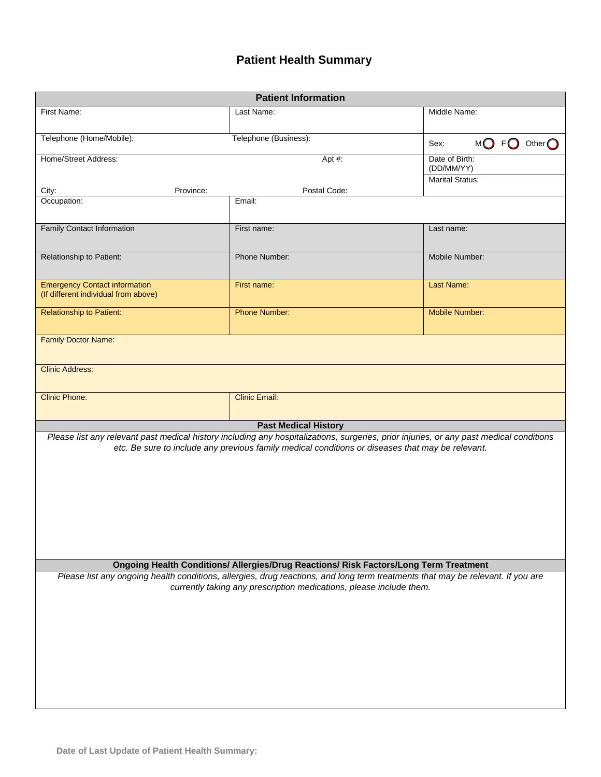# **Patient Health Summary**

| <b>Patient Information</b>                                                                                                                                                                                                                  |                             |                              |  |  |  |
|---------------------------------------------------------------------------------------------------------------------------------------------------------------------------------------------------------------------------------------------|-----------------------------|------------------------------|--|--|--|
| First Name:                                                                                                                                                                                                                                 | Last Name:                  | Middle Name:                 |  |  |  |
| Telephone (Home/Mobile):                                                                                                                                                                                                                    | Telephone (Business):       |                              |  |  |  |
| Home/Street Address:<br>Apt #:                                                                                                                                                                                                              |                             | Date of Birth:<br>(DD/MM/YY) |  |  |  |
| City:<br>Province:                                                                                                                                                                                                                          | Postal Code:                | <b>Marital Status:</b>       |  |  |  |
| Occupation:                                                                                                                                                                                                                                 | Email:                      |                              |  |  |  |
| <b>Family Contact Information</b>                                                                                                                                                                                                           | First name:                 | Last name:                   |  |  |  |
| Relationship to Patient:                                                                                                                                                                                                                    | Phone Number:               | Mobile Number:               |  |  |  |
| <b>Emergency Contact information</b><br>(If different individual from above)                                                                                                                                                                | First name:                 | <b>Last Name:</b>            |  |  |  |
| <b>Relationship to Patient:</b>                                                                                                                                                                                                             | <b>Phone Number:</b>        | <b>Mobile Number:</b>        |  |  |  |
| <b>Family Doctor Name:</b>                                                                                                                                                                                                                  |                             |                              |  |  |  |
| <b>Clinic Address:</b>                                                                                                                                                                                                                      |                             |                              |  |  |  |
| <b>Clinic Phone:</b>                                                                                                                                                                                                                        | <b>Clinic Email:</b>        |                              |  |  |  |
|                                                                                                                                                                                                                                             | <b>Past Medical History</b> |                              |  |  |  |
| Please list any relevant past medical history including any hospitalizations, surgeries, prior injuries, or any past medical conditions<br>etc. Be sure to include any previous family medical conditions or diseases that may be relevant. |                             |                              |  |  |  |
| Ongoing Health Conditions/ Allergies/Drug Reactions/ Risk Factors/Long Term Treatment                                                                                                                                                       |                             |                              |  |  |  |
| Please list any ongoing health conditions, allergies, drug reactions, and long term treatments that may be relevant. If you are<br>currently taking any prescription medications, please include them.                                      |                             |                              |  |  |  |